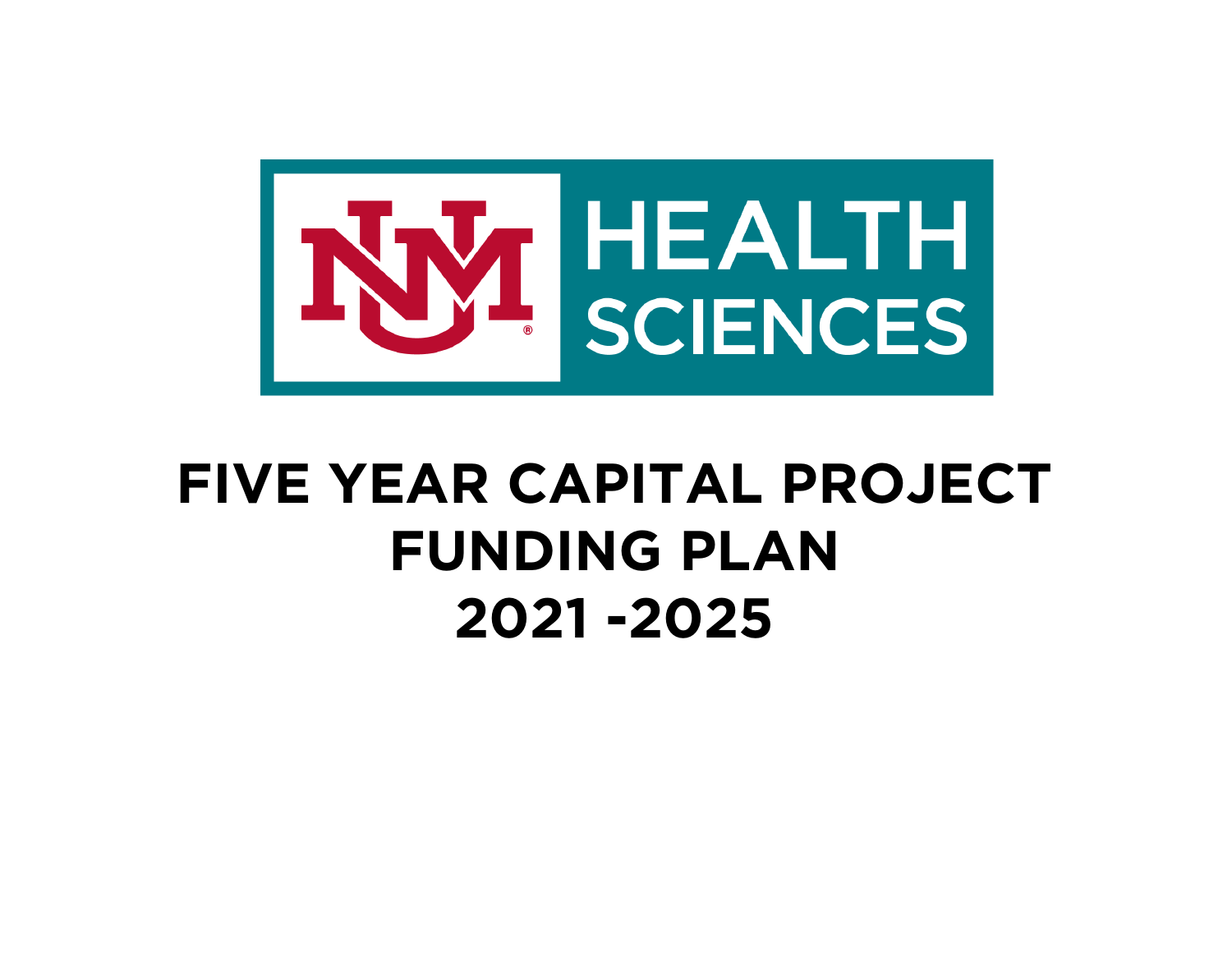

## **FIVE YEAR CAPITAL PROJECT FUNDING PLAN 2021 -2025**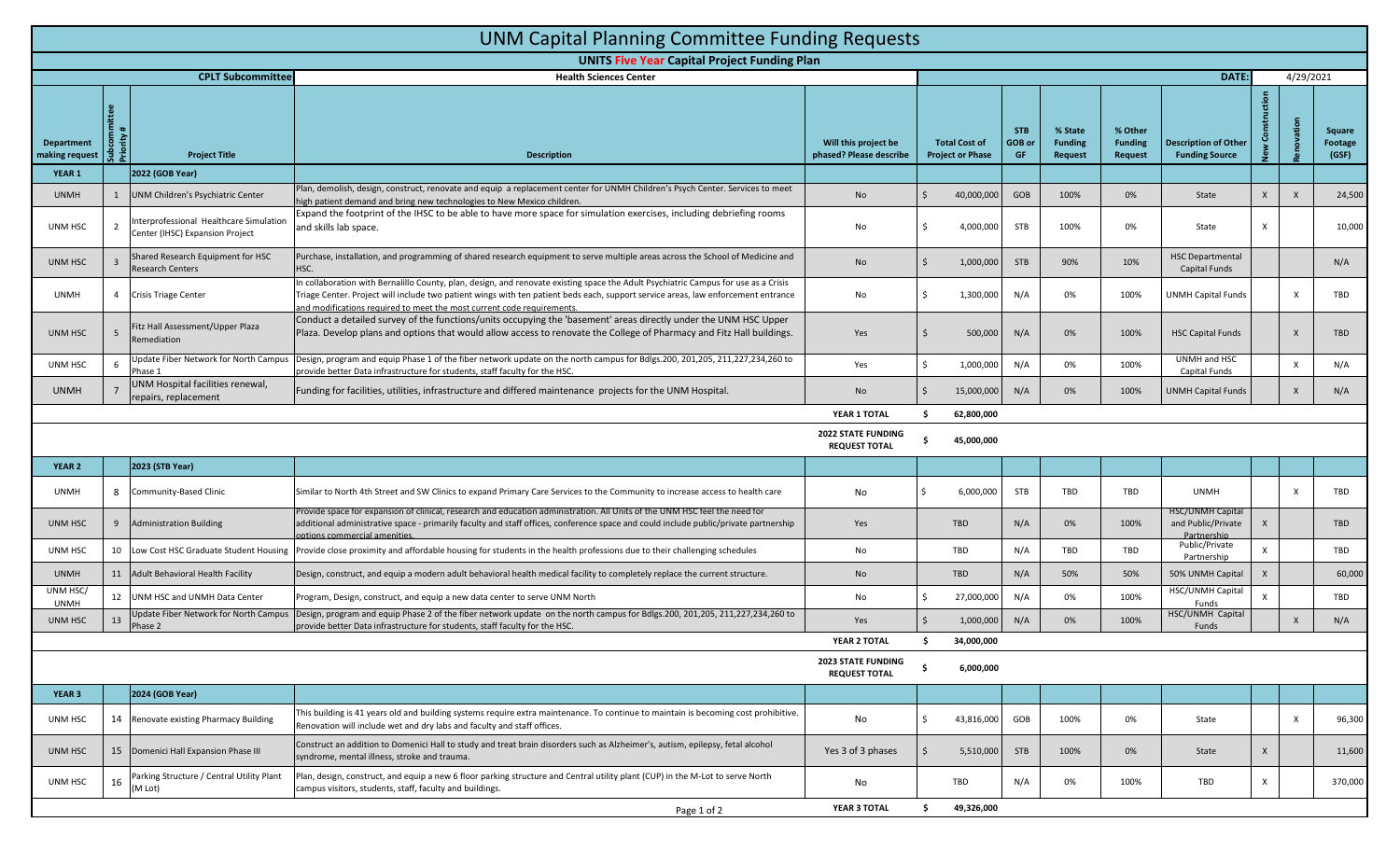| <b>UNM Capital Planning Committee Funding Requests</b>               |                                                                    |                                                                            |                                                                                                                                                                                                                                                                                                                                                    |                                                   |                                                 |                            |                                             |                                             |                                                       |              |              |                            |
|----------------------------------------------------------------------|--------------------------------------------------------------------|----------------------------------------------------------------------------|----------------------------------------------------------------------------------------------------------------------------------------------------------------------------------------------------------------------------------------------------------------------------------------------------------------------------------------------------|---------------------------------------------------|-------------------------------------------------|----------------------------|---------------------------------------------|---------------------------------------------|-------------------------------------------------------|--------------|--------------|----------------------------|
| <b>UNITS Five Year Capital Project Funding Plan</b>                  |                                                                    |                                                                            |                                                                                                                                                                                                                                                                                                                                                    |                                                   |                                                 |                            |                                             |                                             |                                                       |              |              |                            |
|                                                                      | <b>CPLT Subcommittee</b><br>DATE:<br><b>Health Sciences Center</b> |                                                                            |                                                                                                                                                                                                                                                                                                                                                    |                                                   |                                                 |                            | 4/29/2021                                   |                                             |                                                       |              |              |                            |
| Department<br>making request                                         |                                                                    | <b>Project Title</b>                                                       | <b>Description</b>                                                                                                                                                                                                                                                                                                                                 | Will this project be<br>phased? Please describe   | <b>Total Cost of</b><br><b>Project or Phase</b> | <b>STB</b><br>GOB or<br>GF | % State<br><b>Funding</b><br><b>Request</b> | % Other<br><b>Funding</b><br><b>Request</b> | <b>Description of Other</b><br><b>Funding Source</b>  |              |              | Square<br>Footage<br>(GSF) |
| YEAR 1                                                               |                                                                    | 2022 (GOB Year)                                                            |                                                                                                                                                                                                                                                                                                                                                    |                                                   |                                                 |                            |                                             |                                             |                                                       |              |              |                            |
| <b>UNMH</b>                                                          |                                                                    | UNM Children's Psychiatric Center                                          | Plan, demolish, design, construct, renovate and equip a replacement center for UNMH Children's Psych Center. Services to meet<br>high patient demand and bring new technologies to New Mexico children                                                                                                                                             | No                                                | 40,000,000                                      | GOB                        | 100%                                        | 0%                                          | State                                                 | $\mathsf{x}$ | $\times$     | 24,500                     |
| UNM HSC                                                              | $\overline{2}$                                                     | Interprofessional Healthcare Simulation<br>Center (IHSC) Expansion Project | Expand the footprint of the IHSC to be able to have more space for simulation exercises, including debriefing rooms<br>and skills lab space.                                                                                                                                                                                                       | No                                                | 4,000,000                                       | <b>STB</b>                 | 100%                                        | 0%                                          | State                                                 | $\times$     |              | 10,000                     |
| UNM HSC                                                              |                                                                    | Shared Research Equipment for HSC<br><b>Research Centers</b>               | Purchase, installation, and programming of shared research equipment to serve multiple areas across the School of Medicine and<br>HSC.                                                                                                                                                                                                             | No                                                | 1,000,000                                       | <b>STB</b>                 | 90%                                         | 10%                                         | <b>HSC Departmental</b><br>Capital Funds              |              |              | N/A                        |
| <b>UNMH</b>                                                          |                                                                    | 4 Crisis Triage Center                                                     | In collaboration with Bernalillo County, plan, design, and renovate existing space the Adult Psychiatric Campus for use as a Crisis<br>Friage Center. Project will include two patient wings with ten patient beds each, support service areas, law enforcement entrance<br>and modifications required to meet the most current code requirements. | No                                                | 1,300,000                                       | N/A                        | 0%                                          | 100%                                        | <b>UNMH Capital Funds</b>                             |              | X            | TBD                        |
| UNM HSC                                                              |                                                                    | Fitz Hall Assessment/Upper Plaza<br>Remediation                            | Conduct a detailed survey of the functions/units occupying the 'basement' areas directly under the UNM HSC Upper<br>Plaza. Develop plans and options that would allow access to renovate the College of Pharmacy and Fitz Hall buildings.                                                                                                          | Yes                                               | 500,000                                         | N/A                        | 0%                                          | 100%                                        | <b>HSC Capital Funds</b>                              |              | $\mathsf{X}$ | TBD                        |
| UNM HSC                                                              | 6                                                                  | Update Fiber Network for North Campus<br>Phase 1                           | Design, program and equip Phase 1 of the fiber network update on the north campus for Bdlgs.200, 201,205, 211,227,234,260 to<br>provide better Data infrastructure for students, staff faculty for the HSC.                                                                                                                                        | Yes                                               | 1,000,000                                       | N/A                        | 0%                                          | 100%                                        | UNMH and HSC<br>Capital Funds                         |              | X            | N/A                        |
| <b>UNMH</b>                                                          |                                                                    | UNM Hospital facilities renewal,<br>repairs, replacement                   | Funding for facilities, utilities, infrastructure and differed maintenance projects for the UNM Hospital.                                                                                                                                                                                                                                          | No                                                | 15,000,000                                      | N/A                        | 0%                                          | 100%                                        | UNMH Capital Funds                                    |              | $\times$     | N/A                        |
|                                                                      |                                                                    |                                                                            |                                                                                                                                                                                                                                                                                                                                                    | YEAR 1 TOTAL                                      | 62,800,000                                      |                            |                                             |                                             |                                                       |              |              |                            |
|                                                                      |                                                                    |                                                                            |                                                                                                                                                                                                                                                                                                                                                    | <b>2022 STATE FUNDING</b><br><b>REQUEST TOTAL</b> | 45,000,000                                      |                            |                                             |                                             |                                                       |              |              |                            |
| YEAR 2                                                               |                                                                    | 2023 (STB Year)                                                            |                                                                                                                                                                                                                                                                                                                                                    |                                                   |                                                 |                            |                                             |                                             |                                                       |              |              |                            |
| <b>UNMH</b>                                                          | 8                                                                  | Community-Based Clinic                                                     | Similar to North 4th Street and SW Clinics to expand Primary Care Services to the Community to increase access to health care                                                                                                                                                                                                                      | No                                                | 6,000,000                                       | <b>STB</b>                 | TBD                                         | TBD                                         | <b>UNMH</b>                                           |              | X            | TBD                        |
| UNM HSC                                                              | 9                                                                  | <b>Administration Building</b>                                             | Provide space for expansion of clinical, research and education administration. All Units of the UNM HSC feel the need for<br>additional administrative space - primarily faculty and staff offices, conference space and could include public/private partnership<br>potions commercial amenities                                                 | Yes                                               | TBD                                             | N/A                        | 0%                                          | 100%                                        | HSC/UNMH Capital<br>and Public/Private<br>Partnership | X            |              | TBD                        |
| UNM HSC                                                              | 10 <sup>10</sup>                                                   | Low Cost HSC Graduate Student Housing                                      | Provide close proximity and affordable housing for students in the health professions due to their challenging schedules                                                                                                                                                                                                                           | No                                                | TBD                                             | N/A                        | TBD                                         | TBD                                         | Public/Private<br>Partnership                         | $\mathsf{x}$ |              | TBD                        |
| <b>UNMH</b>                                                          | 11                                                                 | Adult Behavioral Health Facility                                           | Design, construct, and equip a modern adult behavioral health medical facility to completely replace the current structure.                                                                                                                                                                                                                        | No.                                               | <b>TBD</b>                                      | N/A                        | 50%                                         | 50%                                         | 50% UNMH Capital                                      | $\mathsf{X}$ |              | 60,000                     |
| UNM HSC<br><b>UNMH</b>                                               | 12                                                                 | UNM HSC and UNMH Data Center                                               | Program, Design, construct, and equip a new data center to serve UNM North                                                                                                                                                                                                                                                                         | No                                                | 27,000,000                                      | N/A                        | 0%                                          | 100%                                        | HSC/UNMH Capital<br>Funds                             |              |              | TBD                        |
| UNM HSC                                                              | 13                                                                 | Update Fiber Network for North Campus<br>Phase 2                           | Design, program and equip Phase 2 of the fiber network update on the north campus for Bdlgs.200, 201,205, 211,227,234,260 to<br>provide better Data infrastructure for students, staff faculty for the HSC.                                                                                                                                        | Yes                                               | 1,000,000                                       | N/A                        | 0%                                          | 100%                                        | HSC/UNMH Capital<br>Funds                             |              | $\mathsf{X}$ | N/A                        |
|                                                                      |                                                                    |                                                                            |                                                                                                                                                                                                                                                                                                                                                    | YEAR 2 TOTAL                                      | 34,000,000                                      |                            |                                             |                                             |                                                       |              |              |                            |
| <b>2023 STATE FUNDING</b><br>\$<br>6,000,000<br><b>REQUEST TOTAL</b> |                                                                    |                                                                            |                                                                                                                                                                                                                                                                                                                                                    |                                                   |                                                 |                            |                                             |                                             |                                                       |              |              |                            |
| YEAR 3                                                               |                                                                    | 2024 (GOB Year)                                                            |                                                                                                                                                                                                                                                                                                                                                    |                                                   |                                                 |                            |                                             |                                             |                                                       |              |              |                            |
| UNM HSC                                                              |                                                                    | 14 Renovate existing Pharmacy Building                                     | This building is 41 years old and building systems require extra maintenance. To continue to maintain is becoming cost prohibitive.<br>Renovation will include wet and dry labs and faculty and staff offices.                                                                                                                                     | No                                                | 43,816,000                                      | GOB                        | 100%                                        | 0%                                          | State                                                 |              | X            | 96,300                     |
| UNM HSC                                                              |                                                                    | 15 Domenici Hall Expansion Phase III                                       | Construct an addition to Domenici Hall to study and treat brain disorders such as Alzheimer's, autism, epilepsy, fetal alcohol<br>syndrome, mental illness, stroke and trauma.                                                                                                                                                                     | Yes 3 of 3 phases                                 | 5,510,000                                       | <b>STB</b>                 | 100%                                        | 0%                                          | State                                                 | $\mathsf{X}$ |              | 11,600                     |
| UNM HSC                                                              | 16                                                                 | Parking Structure / Central Utility Plant<br>(M Lot)                       | Plan, design, construct, and equip a new 6 floor parking structure and Central utility plant (CUP) in the M-Lot to serve North<br>campus visitors, students, staff, faculty and buildings.                                                                                                                                                         | No                                                | TBD                                             | N/A                        | 0%                                          | 100%                                        | TBD                                                   | $\mathsf{X}$ |              | 370,000                    |
|                                                                      |                                                                    |                                                                            | Page 1 of 2                                                                                                                                                                                                                                                                                                                                        | YEAR 3 TOTAL                                      | Ŝ.<br>49,326,000                                |                            |                                             |                                             |                                                       |              |              |                            |